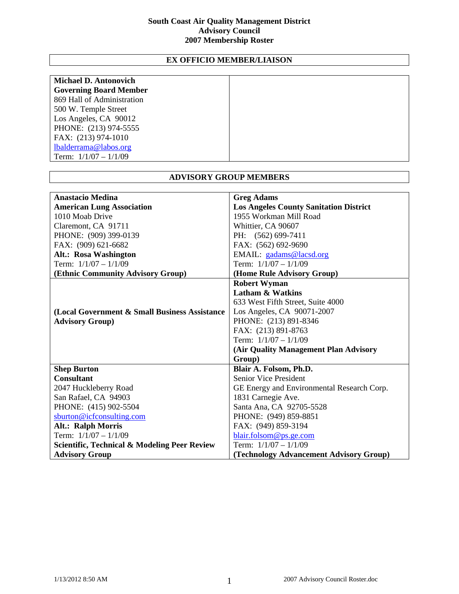## **South Coast Air Quality Management District Advisory Council 2007 Membership Roster**

## **EX OFFICIO MEMBER/LIAISON**

| <b>Michael D. Antonovich</b>  |  |
|-------------------------------|--|
|                               |  |
| <b>Governing Board Member</b> |  |
| 869 Hall of Administration    |  |
| 500 W. Temple Street          |  |
| Los Angeles, CA 90012         |  |
| PHONE: (213) 974-5555         |  |
| FAX: (213) 974-1010           |  |
| lbalderrama@labos.org         |  |
| Term: $1/1/07 - 1/1/09$       |  |

| <b>ADVISORY GROUP MEMBERS</b>                           |                                               |
|---------------------------------------------------------|-----------------------------------------------|
| <b>Anastacio Medina</b>                                 | <b>Greg Adams</b>                             |
| <b>American Lung Association</b>                        | <b>Los Angeles County Sanitation District</b> |
| 1010 Moab Drive                                         | 1955 Workman Mill Road                        |
| Claremont, CA 91711                                     | Whittier, CA 90607                            |
| PHONE: (909) 399-0139                                   | PH: (562) 699-7411                            |
| FAX: (909) 621-6682                                     | FAX: (562) 692-9690                           |
| <b>Alt.: Rosa Washington</b>                            | EMAIL: gadams@lacsd.org                       |
| Term: $1/1/07 - 1/1/09$                                 | Term: $1/1/07 - 1/1/09$                       |
| (Ethnic Community Advisory Group)                       | (Home Rule Advisory Group)                    |
|                                                         | <b>Robert Wyman</b>                           |
|                                                         | <b>Latham &amp; Watkins</b>                   |
|                                                         | 633 West Fifth Street, Suite 4000             |
| (Local Government & Small Business Assistance)          | Los Angeles, CA 90071-2007                    |
| <b>Advisory Group)</b>                                  | PHONE: (213) 891-8346                         |
|                                                         | FAX: (213) 891-8763                           |
|                                                         | Term: $1/1/07 - 1/1/09$                       |
|                                                         | (Air Quality Management Plan Advisory         |
|                                                         | Group)                                        |
| <b>Shep Burton</b>                                      | Blair A. Folsom, Ph.D.                        |
| <b>Consultant</b>                                       | Senior Vice President                         |
| 2047 Huckleberry Road                                   | GE Energy and Environmental Research Corp.    |
| San Rafael, CA 94903                                    | 1831 Carnegie Ave.                            |
| PHONE: (415) 902-5504                                   | Santa Ana, CA 92705-5528                      |
| sburton@icfconsulting.com                               | PHONE: (949) 859-8851                         |
| <b>Alt.: Ralph Morris</b>                               | FAX: (949) 859-3194                           |
| Term: $1/1/07 - 1/1/09$                                 | blair.folsom@ps.ge.com                        |
| <b>Scientific, Technical &amp; Modeling Peer Review</b> | Term: $1/1/07 - 1/1/09$                       |
| <b>Advisory Group</b>                                   | (Technology Advancement Advisory Group)       |

## **ADVISORY GROUP MEMBERS**